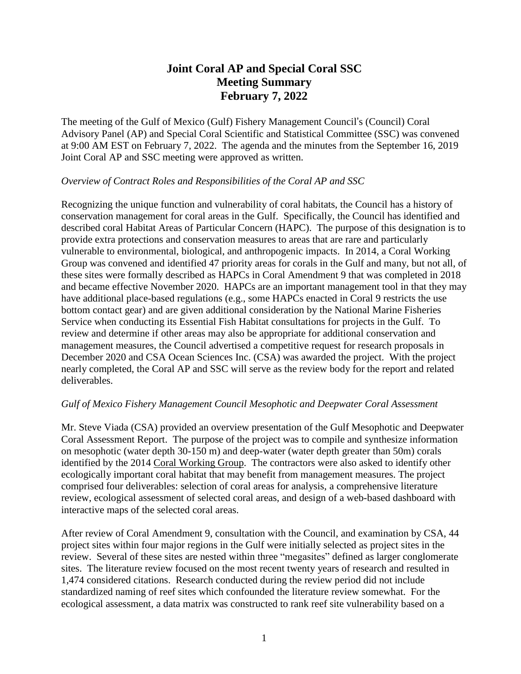# **Joint Coral AP and Special Coral SSC Meeting Summary February 7, 2022**

The meeting of the Gulf of Mexico (Gulf) Fishery Management Council's (Council) Coral Advisory Panel (AP) and Special Coral Scientific and Statistical Committee (SSC) was convened at 9:00 AM EST on February 7, 2022. The agenda and the minutes from the September 16, 2019 Joint Coral AP and SSC meeting were approved as written.

#### *Overview of Contract Roles and Responsibilities of the Coral AP and SSC*

Recognizing the unique function and vulnerability of coral habitats, the Council has a history of conservation management for coral areas in the Gulf. Specifically, the Council has identified and described coral Habitat Areas of Particular Concern (HAPC). The purpose of this designation is to provide extra protections and conservation measures to areas that are rare and particularly vulnerable to environmental, biological, and anthropogenic impacts. In 2014, a Coral Working Group was convened and identified 47 priority areas for corals in the Gulf and many, but not all, of these sites were formally described as HAPCs in Coral Amendment 9 that was completed in 2018 and became effective November 2020. HAPCs are an important management tool in that they may have additional place-based regulations (e.g., some HAPCs enacted in Coral 9 restricts the use bottom contact gear) and are given additional consideration by the National Marine Fisheries Service when conducting its Essential Fish Habitat consultations for projects in the Gulf. To review and determine if other areas may also be appropriate for additional conservation and management measures, the Council advertised a competitive request for research proposals in December 2020 and CSA Ocean Sciences Inc. (CSA) was awarded the project. With the project nearly completed, the Coral AP and SSC will serve as the review body for the report and related deliverables.

# *Gulf of Mexico Fishery Management Council Mesophotic and Deepwater Coral Assessment*

Mr. Steve Viada (CSA) provided an overview presentation of the Gulf Mesophotic and Deepwater Coral Assessment Report. The purpose of the project was to compile and synthesize information on mesophotic (water depth 30-150 m) and deep-water (water depth greater than 50m) corals identified by the 2014 Coral [Working](https://www.regulations.gov/document/NOAA-NMFS-2017-0146-0035) Group. The contractors were also asked to identify other ecologically important coral habitat that may benefit from management measures. The project comprised four deliverables: selection of coral areas for analysis, a comprehensive literature review, ecological assessment of selected coral areas, and design of a web-based dashboard with interactive maps of the selected coral areas.

After review of Coral Amendment 9, consultation with the Council, and examination by CSA, 44 project sites within four major regions in the Gulf were initially selected as project sites in the review. Several of these sites are nested within three "megasites" defined as larger conglomerate sites. The literature review focused on the most recent twenty years of research and resulted in 1,474 considered citations. Research conducted during the review period did not include standardized naming of reef sites which confounded the literature review somewhat. For the ecological assessment, a data matrix was constructed to rank reef site vulnerability based on a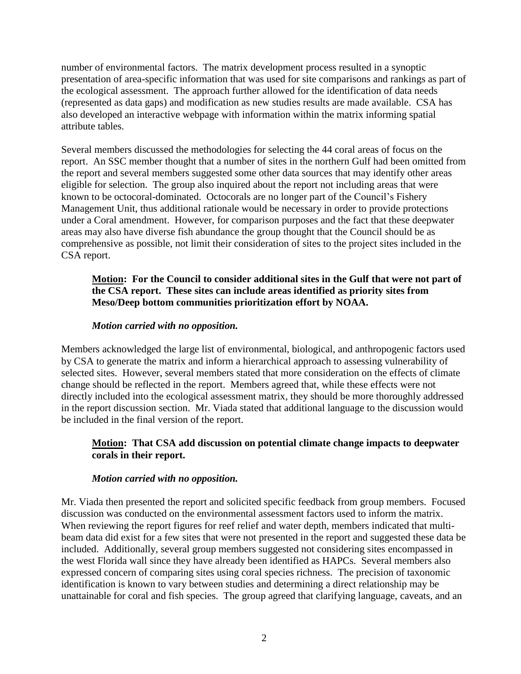number of environmental factors. The matrix development process resulted in a synoptic presentation of area-specific information that was used for site comparisons and rankings as part of the ecological assessment. The approach further allowed for the identification of data needs (represented as data gaps) and modification as new studies results are made available. CSA has also developed an interactive webpage with information within the matrix informing spatial attribute tables.

Several members discussed the methodologies for selecting the 44 coral areas of focus on the report. An SSC member thought that a number of sites in the northern Gulf had been omitted from the report and several members suggested some other data sources that may identify other areas eligible for selection. The group also inquired about the report not including areas that were known to be octocoral-dominated. Octocorals are no longer part of the Council's Fishery Management Unit, thus additional rationale would be necessary in order to provide protections under a Coral amendment. However, for comparison purposes and the fact that these deepwater areas may also have diverse fish abundance the group thought that the Council should be as comprehensive as possible, not limit their consideration of sites to the project sites included in the CSA report.

# **Motion: For the Council to consider additional sites in the Gulf that were not part of the CSA report. These sites can include areas identified as priority sites from Meso/Deep bottom communities prioritization effort by NOAA.**

#### *Motion carried with no opposition.*

Members acknowledged the large list of environmental, biological, and anthropogenic factors used by CSA to generate the matrix and inform a hierarchical approach to assessing vulnerability of selected sites. However, several members stated that more consideration on the effects of climate change should be reflected in the report. Members agreed that, while these effects were not directly included into the ecological assessment matrix, they should be more thoroughly addressed in the report discussion section. Mr. Viada stated that additional language to the discussion would be included in the final version of the report.

# **Motion: That CSA add discussion on potential climate change impacts to deepwater corals in their report.**

#### *Motion carried with no opposition.*

Mr. Viada then presented the report and solicited specific feedback from group members. Focused discussion was conducted on the environmental assessment factors used to inform the matrix. When reviewing the report figures for reef relief and water depth, members indicated that multibeam data did exist for a few sites that were not presented in the report and suggested these data be included. Additionally, several group members suggested not considering sites encompassed in the west Florida wall since they have already been identified as HAPCs. Several members also expressed concern of comparing sites using coral species richness. The precision of taxonomic identification is known to vary between studies and determining a direct relationship may be unattainable for coral and fish species. The group agreed that clarifying language, caveats, and an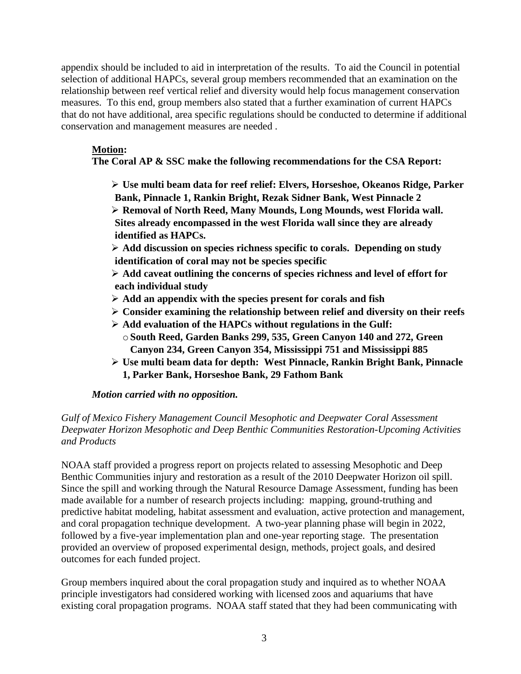appendix should be included to aid in interpretation of the results. To aid the Council in potential selection of additional HAPCs, several group members recommended that an examination on the relationship between reef vertical relief and diversity would help focus management conservation measures. To this end, group members also stated that a further examination of current HAPCs that do not have additional, area specific regulations should be conducted to determine if additional conservation and management measures are needed .

# **Motion:**

# **The Coral AP & SSC make the following recommendations for the CSA Report:**

➢ **Use multi beam data for reef relief: Elvers, Horseshoe, Okeanos Ridge, Parker Bank, Pinnacle 1, Rankin Bright, Rezak Sidner Bank, West Pinnacle 2**

➢ **Removal of North Reed, Many Mounds, Long Mounds, west Florida wall. Sites already encompassed in the west Florida wall since they are already identified as HAPCs.**

➢ **Add discussion on species richness specific to corals. Depending on study identification of coral may not be species specific**

➢ **Add caveat outlining the concerns of species richness and level of effort for each individual study**

- ➢ **Add an appendix with the species present for corals and fish**
- ➢ **Consider examining the relationship between relief and diversity on their reefs**
- ➢ **Add evaluation of the HAPCs without regulations in the Gulf:** o**South Reed, Garden Banks 299, 535, Green Canyon 140 and 272, Green Canyon 234, Green Canyon 354, Mississippi 751 and Mississippi 885**
- ➢ **Use multi beam data for depth: West Pinnacle, Rankin Bright Bank, Pinnacle 1, Parker Bank, Horseshoe Bank, 29 Fathom Bank**

# *Motion carried with no opposition.*

# *Gulf of Mexico Fishery Management Council Mesophotic and Deepwater Coral Assessment Deepwater Horizon Mesophotic and Deep Benthic Communities Restoration-Upcoming Activities and Products*

NOAA staff provided a progress report on projects related to assessing Mesophotic and Deep Benthic Communities injury and restoration as a result of the 2010 Deepwater Horizon oil spill. Since the spill and working through the Natural Resource Damage Assessment, funding has been made available for a number of research projects including: mapping, ground-truthing and predictive habitat modeling, habitat assessment and evaluation, active protection and management, and coral propagation technique development. A two-year planning phase will begin in 2022, followed by a five-year implementation plan and one-year reporting stage. The presentation provided an overview of proposed experimental design, methods, project goals, and desired outcomes for each funded project.

Group members inquired about the coral propagation study and inquired as to whether NOAA principle investigators had considered working with licensed zoos and aquariums that have existing coral propagation programs. NOAA staff stated that they had been communicating with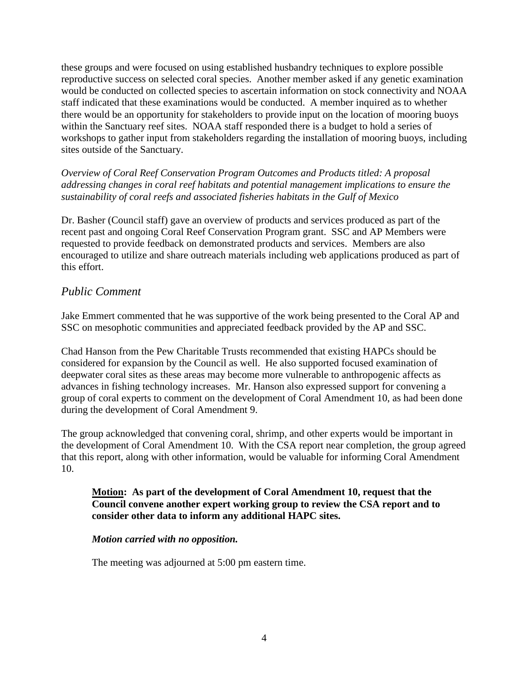these groups and were focused on using established husbandry techniques to explore possible reproductive success on selected coral species. Another member asked if any genetic examination would be conducted on collected species to ascertain information on stock connectivity and NOAA staff indicated that these examinations would be conducted. A member inquired as to whether there would be an opportunity for stakeholders to provide input on the location of mooring buoys within the Sanctuary reef sites. NOAA staff responded there is a budget to hold a series of workshops to gather input from stakeholders regarding the installation of mooring buoys, including sites outside of the Sanctuary.

*Overview of Coral Reef Conservation Program Outcomes and Products titled: A proposal addressing changes in coral reef habitats and potential management implications to ensure the sustainability of coral reefs and associated fisheries habitats in the Gulf of Mexico*

Dr. Basher (Council staff) gave an overview of products and services produced as part of the recent past and ongoing Coral Reef Conservation Program grant. SSC and AP Members were requested to provide feedback on demonstrated products and services. Members are also encouraged to utilize and share outreach materials including web applications produced as part of this effort.

# *Public Comment*

Jake Emmert commented that he was supportive of the work being presented to the Coral AP and SSC on mesophotic communities and appreciated feedback provided by the AP and SSC.

Chad Hanson from the Pew Charitable Trusts recommended that existing HAPCs should be considered for expansion by the Council as well. He also supported focused examination of deepwater coral sites as these areas may become more vulnerable to anthropogenic affects as advances in fishing technology increases. Mr. Hanson also expressed support for convening a group of coral experts to comment on the development of Coral Amendment 10, as had been done during the development of Coral Amendment 9.

The group acknowledged that convening coral, shrimp, and other experts would be important in the development of Coral Amendment 10. With the CSA report near completion, the group agreed that this report, along with other information, would be valuable for informing Coral Amendment 10.

### **Motion: As part of the development of Coral Amendment 10, request that the Council convene another expert working group to review the CSA report and to consider other data to inform any additional HAPC sites.**

# *Motion carried with no opposition.*

The meeting was adjourned at 5:00 pm eastern time.